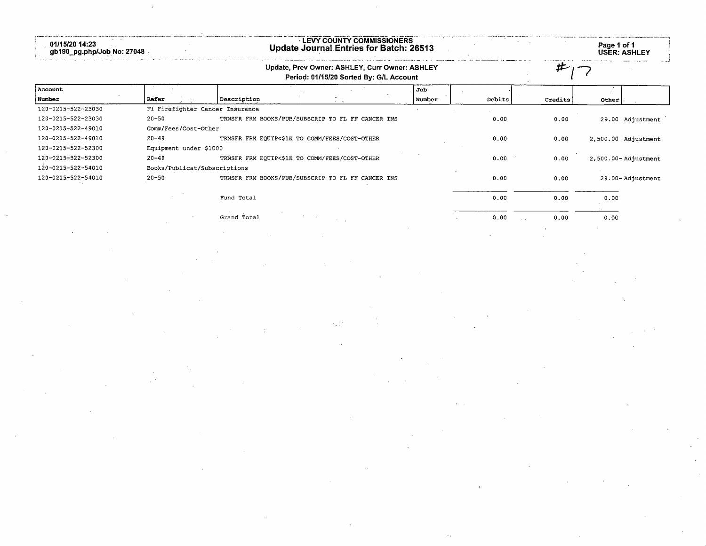| 01/15/20 14:23<br>ີຼpg.php/Job No: 27048<br>ab190 | ' COUNTY COMMISSIONERS<br><b>LEVY</b><br>Update Journal Entries for Batch: 26513 | Page 1 of 1 | <b>USER: ASHLEY</b> |
|---------------------------------------------------|----------------------------------------------------------------------------------|-------------|---------------------|
|                                                   | Update, Prev Owner: ASHLEY, Curr Owner: ASHLEY                                   |             | and the new         |

## Period: 01/15/20 Sorted By: G/L Account

## 7-7

. . . . 1

| Account            |                      |                                                   | Job    |        |         |                         |
|--------------------|----------------------|---------------------------------------------------|--------|--------|---------|-------------------------|
| Number             | Refer                | Description                                       | Number | Debits | Credits | Other                   |
| 120-0215-522-23030 |                      | Fl Firefighter Cancer Insurance                   |        |        |         |                         |
| 120-0215-522-23030 | $20 - 50$            | TRNSFR FRM BOOKS/PUB/SUBSCRIP TO FL FF CANCER INS |        | 0.00   | 0.00    | 29.00 Adjustment        |
| 120-0215-522-49010 | Comm/Fees/Cost-Other |                                                   |        |        |         |                         |
| 120-0215-522-49010 | $20 - 49$            | TRNSFR FRM EQUIP<\$1K TO COMM/FEES/COST-OTHER     |        | 0.00   | 0.00    | 2,500.00 Adjustment     |
| 120-0215-522-52300 |                      | Equipment under \$1000                            |        |        |         |                         |
| 120-0215-522-52300 | $20 - 49$            | TRNSFR FRM EQUIP<\$1K TO COMM/FEES/COST-OTHER     |        | 0.00   | 0.00    | $2,500.00 -$ Adjustment |
| 120-0215-522-54010 |                      | Books/Publicat/Subscriptions                      |        |        |         |                         |
| 120-0215-522-54010 | $20 - 50$            | TRNSFR FRM BOOKS/PUB/SUBSCRIP TO FL FF CANCER INS |        | 0.00   | 0.00    | 29.00-Adjustment        |
|                    |                      | Fund Total                                        |        | 0.00   | 0.00    | 0.00                    |
|                    |                      | Grand Total<br>The Contract of the Con-           |        | 0.00   | 0.00    | 0.00                    |

 $\overline{a}$ 

÷.

L,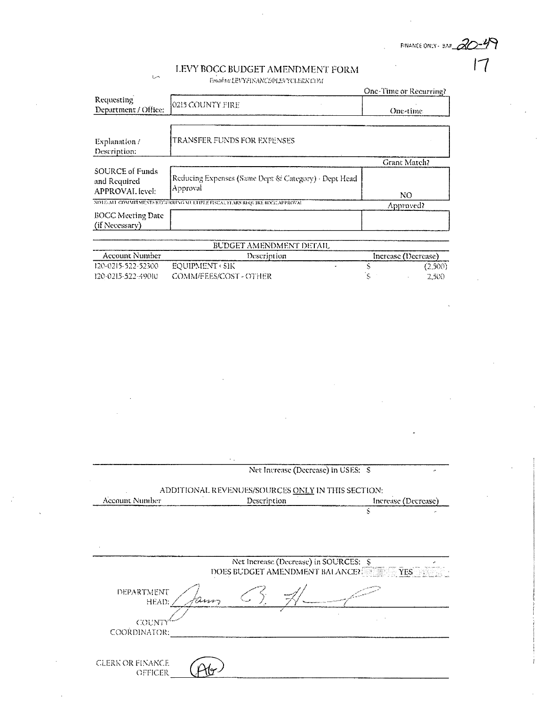FINANCE ONLY - BAZ  $\mathcal{A}\rightarrow\mathcal{B}$ 

 $17$ 

## LEVY BOCC BUDGET AMENDMENT FORM

 $\sim$ 

Email to: LEVYFINANCE@LEVYCLERK COM

|                                                    |                                                                              | One-Time or Recurring? |  |
|----------------------------------------------------|------------------------------------------------------------------------------|------------------------|--|
| Requesting<br>Department / Office:                 | 0215 COUNTY FIRE                                                             | One-time               |  |
| Explanation /<br>Description:                      | TRANSFER FUNDS FOR EXPENSES                                                  |                        |  |
|                                                    |                                                                              | Grant Match?           |  |
| SOURCE of Funds<br>and Required<br>APPROVAL level: | Reducing Expenses (Same Dept & Category) · Dept Head<br>Approval             | NO                     |  |
|                                                    | NOTE/ALL COMMITMENTS RECEIVERING MULTIPLE FISCAL YEARS REQUIRE BOGG APPROVAL | Approved?              |  |
| <b>BOCC Meeting Date</b><br>(if Necessary)         |                                                                              |                        |  |
|                                                    | BUDGET AMENDMENT DETAIL                                                      |                        |  |
| Account Number                                     | Increase (Decrease)<br>Description                                           |                        |  |
| 120-0215-522-52300                                 | EQUIPMENT < SIK                                                              | S<br>(2,500)           |  |
| 120-0215-522-49010                                 | COMM/FEES/COST - OTHER                                                       | 2.500                  |  |

|                                    |                                                   | Net Increase (Decrease) in USES: S     |                                | z.                  |
|------------------------------------|---------------------------------------------------|----------------------------------------|--------------------------------|---------------------|
|                                    | ADDITIONAL REVENUES/SOURCES ONLY IN THIS SECTION: |                                        |                                |                     |
| Account Number                     |                                                   | Description                            |                                | Increase (Decrease) |
|                                    |                                                   |                                        | Ś                              |                     |
|                                    |                                                   |                                        |                                |                     |
|                                    |                                                   |                                        |                                |                     |
|                                    |                                                   |                                        |                                |                     |
|                                    |                                                   | Net Increase (Decrease) in SOURCES: \$ |                                |                     |
|                                    |                                                   |                                        | DOES BUDGET AMENDMENT BALANCE? |                     |
| DEPARTMENT                         |                                                   |                                        |                                |                     |
| HEAD:                              |                                                   |                                        |                                |                     |
| COUNT                              |                                                   |                                        |                                |                     |
| COORDINATOR:                       |                                                   |                                        |                                |                     |
|                                    |                                                   |                                        |                                |                     |
| <b>CLERK OR FINANCE</b><br>OFFICER |                                                   |                                        |                                |                     |

 $\mathbf{r}$